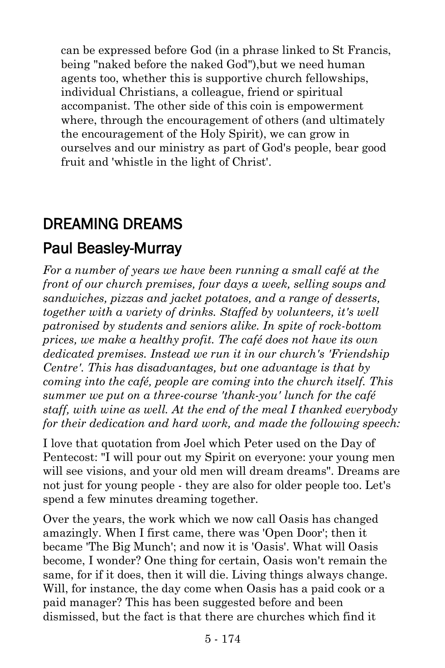can be expressed before God (in a phrase linked to St Francis, being "naked before the naked God"),but we need human agents too, whether this is supportive church fellowships, individual Christians, a colleague, friend or spiritual accompanist. The other side of this coin is empowerment where, through the encouragement of others (and ultimately the encouragement of the Holy Spirit), we can grow in ourselves and our ministry as part of God's people, bear good fruit and 'whistle in the light of Christ'.

## DREAMING DREAMS

### [Paul Beasley-Murray](https://www.ministrytoday.org.uk/magazine/authors/423/)

*For a number of years we have been running a small café at the front of our church premises, four days a week, selling soups and sandwiches, pizzas and jacket potatoes, and a range of desserts, together with a variety of drinks. Staffed by volunteers, it's well patronised by students and seniors alike. In spite of rock-bottom prices, we make a healthy profit. The café does not have its own dedicated premises. Instead we run it in our church's 'Friendship Centre'. This has disadvantages, but one advantage is that by coming into the café, people are coming into the church itself. This summer we put on a three-course 'thank-you' lunch for the café staff, with wine as well. At the end of the meal I thanked everybody for their dedication and hard work, and made the following speech:*

I love that quotation from Joel which Peter used on the Day of Pentecost: "I will pour out my Spirit on everyone: your young men will see visions, and your old men will dream dreams". Dreams are not just for young people - they are also for older people too. Let's spend a few minutes dreaming together.

Over the years, the work which we now call Oasis has changed amazingly. When I first came, there was 'Open Door'; then it became 'The Big Munch'; and now it is 'Oasis'. What will Oasis become, I wonder? One thing for certain, Oasis won't remain the same, for if it does, then it will die. Living things always change. Will, for instance, the day come when Oasis has a paid cook or a paid manager? This has been suggested before and been dismissed, but the fact is that there are churches which find it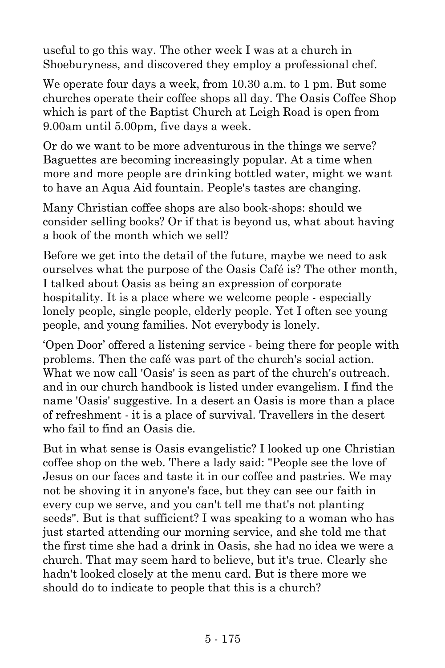useful to go this way. The other week I was at a church in Shoeburyness, and discovered they employ a professional chef.

We operate four days a week, from 10.30 a.m. to 1 pm. But some churches operate their coffee shops all day. The Oasis Coffee Shop which is part of the Baptist Church at Leigh Road is open from 9.00am until 5.00pm, five days a week.

Or do we want to be more adventurous in the things we serve? Baguettes are becoming increasingly popular. At a time when more and more people are drinking bottled water, might we want to have an Aqua Aid fountain. People's tastes are changing.

Many Christian coffee shops are also book-shops: should we consider selling books? Or if that is beyond us, what about having a book of the month which we sell?

Before we get into the detail of the future, maybe we need to ask ourselves what the purpose of the Oasis Café is? The other month, I talked about Oasis as being an expression of corporate hospitality. It is a place where we welcome people - especially lonely people, single people, elderly people. Yet I often see young people, and young families. Not everybody is lonely.

'Open Door' offered a listening service - being there for people with problems. Then the café was part of the church's social action. What we now call 'Oasis' is seen as part of the church's outreach. and in our church handbook is listed under evangelism. I find the name 'Oasis' suggestive. In a desert an Oasis is more than a place of refreshment - it is a place of survival. Travellers in the desert who fail to find an Oasis die.

But in what sense is Oasis evangelistic? I looked up one Christian coffee shop on the web. There a lady said: "People see the love of Jesus on our faces and taste it in our coffee and pastries. We may not be shoving it in anyone's face, but they can see our faith in every cup we serve, and you can't tell me that's not planting seeds". But is that sufficient? I was speaking to a woman who has just started attending our morning service, and she told me that the first time she had a drink in Oasis, she had no idea we were a church. That may seem hard to believe, but it's true. Clearly she hadn't looked closely at the menu card. But is there more we should do to indicate to people that this is a church?